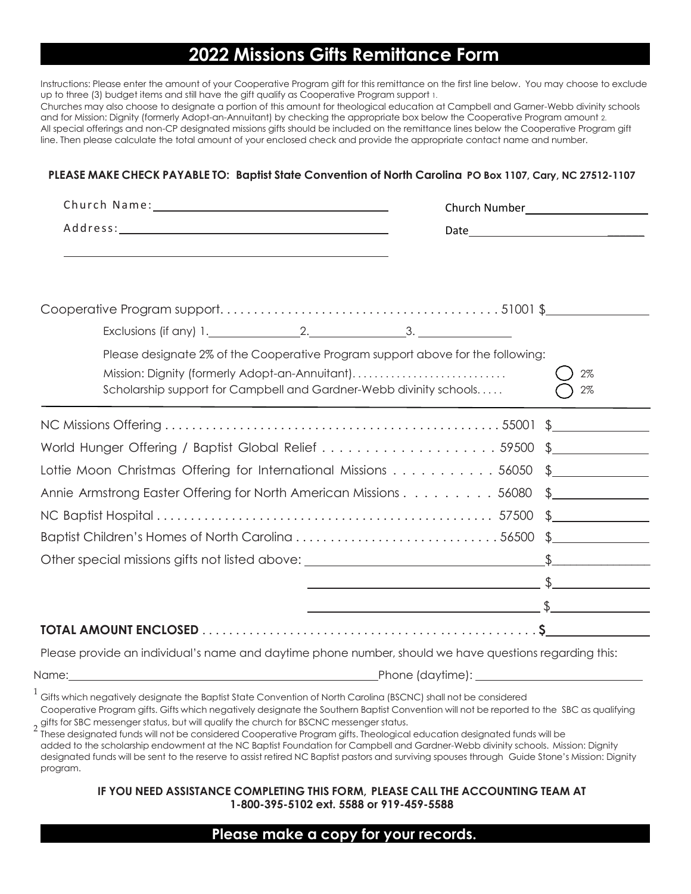# **2022 Missions Gifts Remittance Form**

Instructions: Please enter the amount of your Cooperative Program gift for this remittance on the first line below. You may choose to exclude up to three (3) budget items and still have the gift qualify as Cooperative Program support 1.

Churches may also choose to designate a portion of this amount for theological education at Campbell and Garner-Webb divinity schools and for Mission: Dignity (formerly Adopt-an-Annuitant) by checking the appropriate box below the Cooperative Program amount 2. All special offerings and non-CP designated missions gifts should be included on the remittance lines below the Cooperative Program gift line. Then please calculate the total amount of your enclosed check and provide the appropriate contact name and number.

### **PLEASE MAKE CHECK PAYABLE TO: Baptist State Convention of North Carolina PO Box 1107, Cary, NC 27512-1107**

| Exclusions (if any) $1.$ 2. $2.$ 3.                                                                                                                                                                     |                                                                                                                                                                                                                                                                                               |  |
|---------------------------------------------------------------------------------------------------------------------------------------------------------------------------------------------------------|-----------------------------------------------------------------------------------------------------------------------------------------------------------------------------------------------------------------------------------------------------------------------------------------------|--|
| Please designate 2% of the Cooperative Program support above for the following:<br>Mission: Dignity (formerly Adopt-an-Annuitant)<br>Scholarship support for Campbell and Gardner-Webb divinity schools | 2%<br>2%                                                                                                                                                                                                                                                                                      |  |
|                                                                                                                                                                                                         |                                                                                                                                                                                                                                                                                               |  |
| World Hunger Offering / Baptist Global Relief 59500 \$                                                                                                                                                  |                                                                                                                                                                                                                                                                                               |  |
| Lottie Moon Christmas Offering for International Missions $\dots \dots \dots \dots$ 56050 $\frac{1}{2}$                                                                                                 |                                                                                                                                                                                                                                                                                               |  |
| Annie Armstrong Easter Offering for North American Missions 56080 \$                                                                                                                                    |                                                                                                                                                                                                                                                                                               |  |
|                                                                                                                                                                                                         |                                                                                                                                                                                                                                                                                               |  |
|                                                                                                                                                                                                         |                                                                                                                                                                                                                                                                                               |  |
|                                                                                                                                                                                                         |                                                                                                                                                                                                                                                                                               |  |
|                                                                                                                                                                                                         |                                                                                                                                                                                                                                                                                               |  |
|                                                                                                                                                                                                         | $\frac{1}{2}$ . The contract of the contract of $\frac{1}{2}$ , $\frac{1}{2}$ , $\frac{1}{2}$ , $\frac{1}{2}$ , $\frac{1}{2}$ , $\frac{1}{2}$ , $\frac{1}{2}$ , $\frac{1}{2}$ , $\frac{1}{2}$ , $\frac{1}{2}$ , $\frac{1}{2}$ , $\frac{1}{2}$ , $\frac{1}{2}$ , $\frac{1}{2}$ , $\frac{1}{2}$ |  |
|                                                                                                                                                                                                         |                                                                                                                                                                                                                                                                                               |  |

Please provide an individual's name and daytime phone number, should we have questions regarding this:

Name: Phone (daytime):

 $^1$  Gifts which negatively designate the Baptist State Convention of North Carolina (BSCNC) shall not be considered

Cooperative Program gifts. Gifts which negatively designate the Southern Baptist Convention will not be reported to the SBC as qualifying gifts for SBC messenger status, but will qualify the church for BSCNC messenger status.<br>2 These designated funds will not be considered Connective Program gifts. Theologica

These designated funds will not be considered Cooperative Program gifts. Theological education designated funds will be added to the scholarship endowment at the NC Baptist Foundation for Campbell and Gardner-Webb divinity schools. Mission: Dignity designated funds will be sent to the reserve to assist retired NC Baptist pastors and surviving spouses through Guide Stone's Mission: Dignity program.

#### **IF YOU NEED ASSISTANCE COMPLETING THIS FORM, PLEASE CALL THE ACCOUNTING TEAM AT 1-800-395-5102 ext. 5588 or 919-459-5588**

## **Please make a copy for your records.**